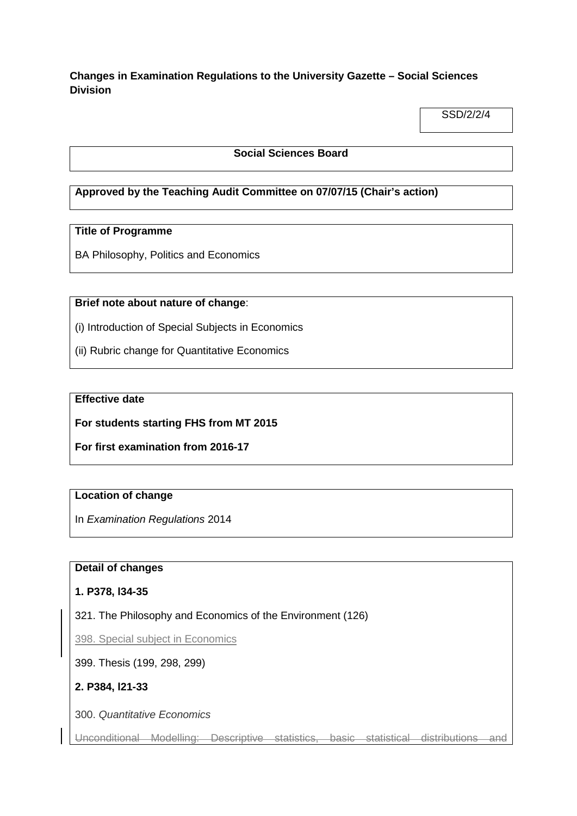# **Changes in Examination Regulations to the University Gazette – Social Sciences Division**

SSD/2/2/4

## **Social Sciences Board**

## **Approved by the Teaching Audit Committee on 07/07/15 (Chair's action)**

#### **Title of Programme**

BA Philosophy, Politics and Economics

## **Brief note about nature of change**:

(i) Introduction of Special Subjects in Economics

(ii) Rubric change for Quantitative Economics

## **Effective date**

**For students starting FHS from MT 2015**

**For first examination from 2016-17**

# **Location of change**

In *Examination Regulations* 2014

## **Detail of changes**

#### **1. P378, l34-35**

321. The Philosophy and Economics of the Environment (126)

398. Special subject in Economics

399. Thesis (199, 298, 299)

## **2. P384, l21-33**

300. *Quantitative Economics*

Unconditional Modelling: Descriptive statistics, basic statistical distributions and